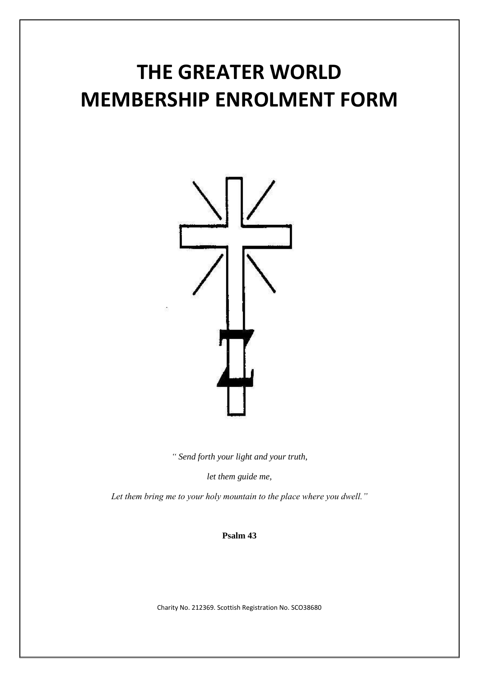## **THE GREATER WORLD MEMBERSHIP ENROLMENT FORM**



*" Send forth your light and your truth,*

*let them guide me,*

*Let them bring me to your holy mountain to the place where you dwell."*

## **Psalm 43**

Charity No. 212369. Scottish Registration No. SCO38680